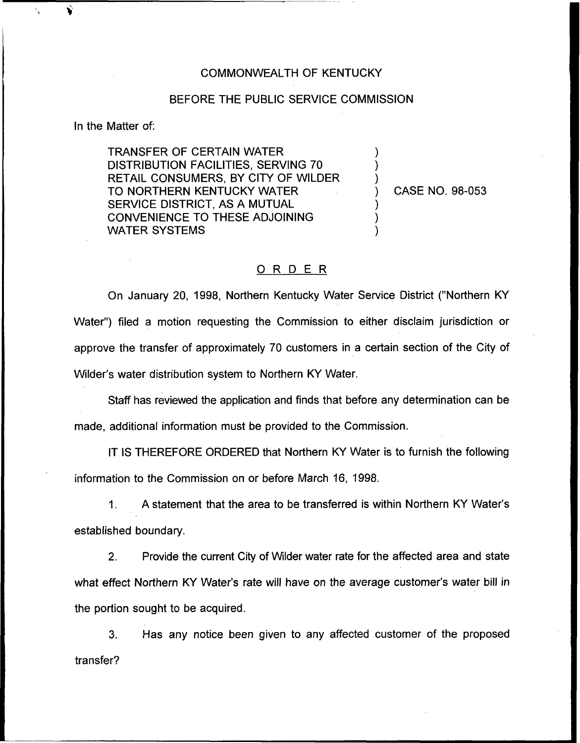## COMMONWEALTH OF KENTUCKY

## BEFORE THE PUBLIC SERVICE COMMISSION

In the Matter of:

TRANSFER OF CERTAIN WATER DISTRIBUTION FACILITIES, SERVING 70 RETAIL CONSUMERS, BY CITY OF WILDER TO NORTHERN KENTUCKY WATER SERVICE DISTRICT, AS A MUTUAL CONVENIENCE TO THESE ADJOINING WATER SYSTEMS

) CASE NO. 98-053

) ) )

) ) )

## 0 <sup>R</sup> <sup>D</sup> <sup>E</sup> <sup>R</sup>

On January 20, 1998, Northern Kentucky Water Service District ("Northern KY Water") filed a motion requesting the Commission to either disclaim jurisdiction or approve the transfer of approximately 70 customers in a certain section of the City of Wilder's water distribution system to Northern KY Water.

Staff has reviewed the application and finds that before any determination can be made, additional information must be provided to the Commission.

IT IS THEREFORE ORDERED that Northern KY Water is to furnish the following information to the Commission on or before March 16, 1998.

1. A statement that the area to be transferred is within Northern KY Water' established boundary.

 $2<sub>1</sub>$ Provide the current City of Wilder water rate for the affected area and state what effect Northern KY Water's rate will have on the average customer's water bill in the portion sought to be acquired.

3. Has any notice been given to any affected customer of the proposed transfer?